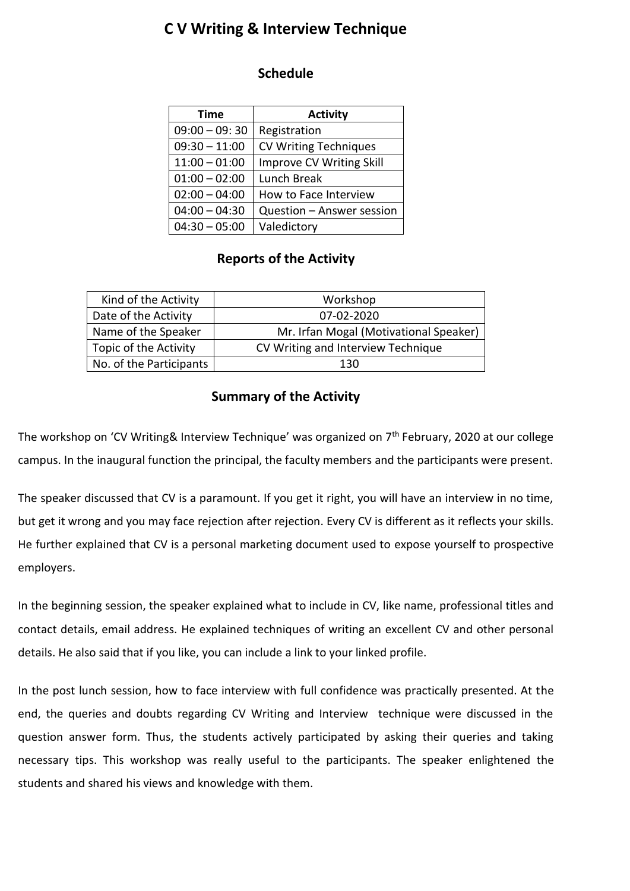## **C V Writing & Interview Technique**

## **Schedule**

| <b>Time</b>     | <b>Activity</b>              |
|-----------------|------------------------------|
| $09:00 - 09:30$ | Registration                 |
| $09:30 - 11:00$ | <b>CV Writing Techniques</b> |
| $11:00 - 01:00$ | Improve CV Writing Skill     |
| $01:00 - 02:00$ | Lunch Break                  |
| $02:00 - 04:00$ | How to Face Interview        |
| $04:00 - 04:30$ | Question - Answer session    |
| $04:30 - 05:00$ | Valedictory                  |

## **Reports of the Activity**

| Kind of the Activity    | Workshop                               |
|-------------------------|----------------------------------------|
| Date of the Activity    | 07-02-2020                             |
| Name of the Speaker     | Mr. Irfan Mogal (Motivational Speaker) |
| Topic of the Activity   | CV Writing and Interview Technique     |
| No. of the Participants | 130                                    |

## **Summary of the Activity**

The workshop on 'CV Writing& Interview Technique' was organized on 7<sup>th</sup> February, 2020 at our college campus. In the inaugural function the principal, the faculty members and the participants were present.

The speaker discussed that CV is a paramount. If you get it right, you will have an interview in no time, but get it wrong and you may face rejection after rejection. Every CV is different as it reflects your skills. He further explained that CV is a personal marketing document used to expose yourself to prospective employers.

In the beginning session, the speaker explained what to include in CV, like name, professional titles and contact details, email address. He explained techniques of writing an excellent CV and other personal details. He also said that if you like, you can include a link to your linked profile.

In the post lunch session, how to face interview with full confidence was practically presented. At the end, the queries and doubts regarding CV Writing and Interview technique were discussed in the question answer form. Thus, the students actively participated by asking their queries and taking necessary tips. This workshop was really useful to the participants. The speaker enlightened the students and shared his views and knowledge with them.